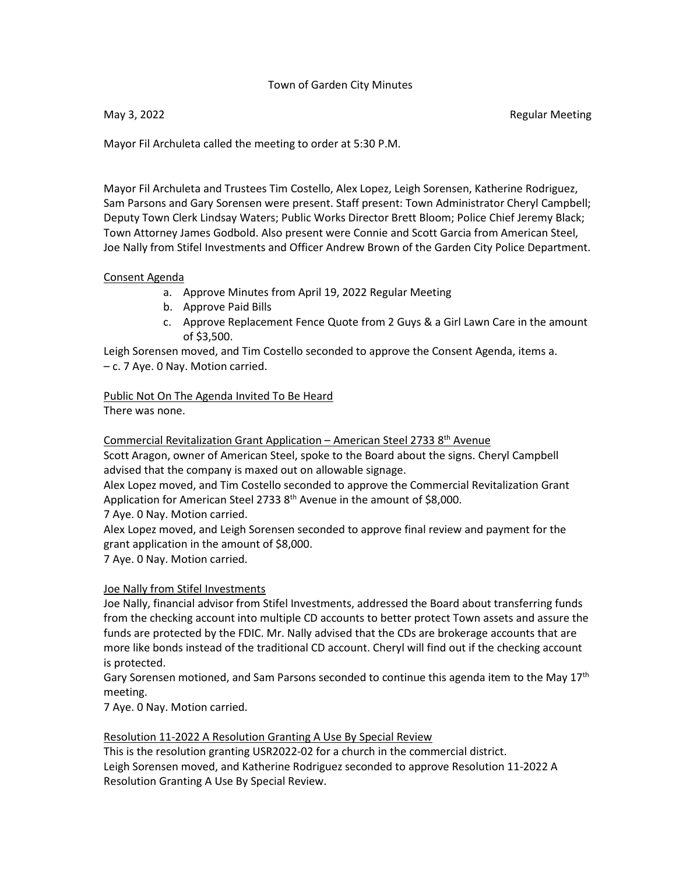## Town of Garden City Minutes

May 3, 2022 **Regular Meeting** 

Mayor Fil Archuleta called the meeting to order at 5:30 P.M.

Mayor Fil Archuleta and Trustees Tim Costello, Alex Lopez, Leigh Sorensen, Katherine Rodriguez, Sam Parsons and Gary Sorensen were present. Staff present: Town Administrator Cheryl Campbell; Deputy Town Clerk Lindsay Waters; Public Works Director Brett Bloom; Police Chief Jeremy Black; Town Attorney James Godbold. Also present were Connie and Scott Garcia from American Steel, Joe Nally from Stifel Investments and Officer Andrew Brown of the Garden City Police Department.

### Consent Agenda

- a. Approve Minutes from April 19, 2022 Regular Meeting
- b. Approve Paid Bills
- c. Approve Replacement Fence Quote from 2 Guys & a Girl Lawn Care in the amount of \$3,500.

Leigh Sorensen moved, and Tim Costello seconded to approve the Consent Agenda, items a. – c. 7 Aye. 0 Nay. Motion carried.

Public Not On The Agenda Invited To Be Heard There was none.

Commercial Revitalization Grant Application – American Steel 2733 8th Avenue

Scott Aragon, owner of American Steel, spoke to the Board about the signs. Cheryl Campbell advised that the company is maxed out on allowable signage.

Alex Lopez moved, and Tim Costello seconded to approve the Commercial Revitalization Grant Application for American Steel 2733 8<sup>th</sup> Avenue in the amount of \$8,000.

7 Aye. 0 Nay. Motion carried.

Alex Lopez moved, and Leigh Sorensen seconded to approve final review and payment for the grant application in the amount of \$8,000.

7 Aye. 0 Nay. Motion carried.

## Joe Nally from Stifel Investments

Joe Nally, financial advisor from Stifel Investments, addressed the Board about transferring funds from the checking account into multiple CD accounts to better protect Town assets and assure the funds are protected by the FDIC. Mr. Nally advised that the CDs are brokerage accounts that are more like bonds instead of the traditional CD account. Cheryl will find out if the checking account is protected.

Gary Sorensen motioned, and Sam Parsons seconded to continue this agenda item to the May 17<sup>th</sup> meeting.

7 Aye. 0 Nay. Motion carried.

#### Resolution 11-2022 A Resolution Granting A Use By Special Review

This is the resolution granting USR2022-02 for a church in the commercial district. Leigh Sorensen moved, and Katherine Rodriguez seconded to approve Resolution 11-2022 A Resolution Granting A Use By Special Review.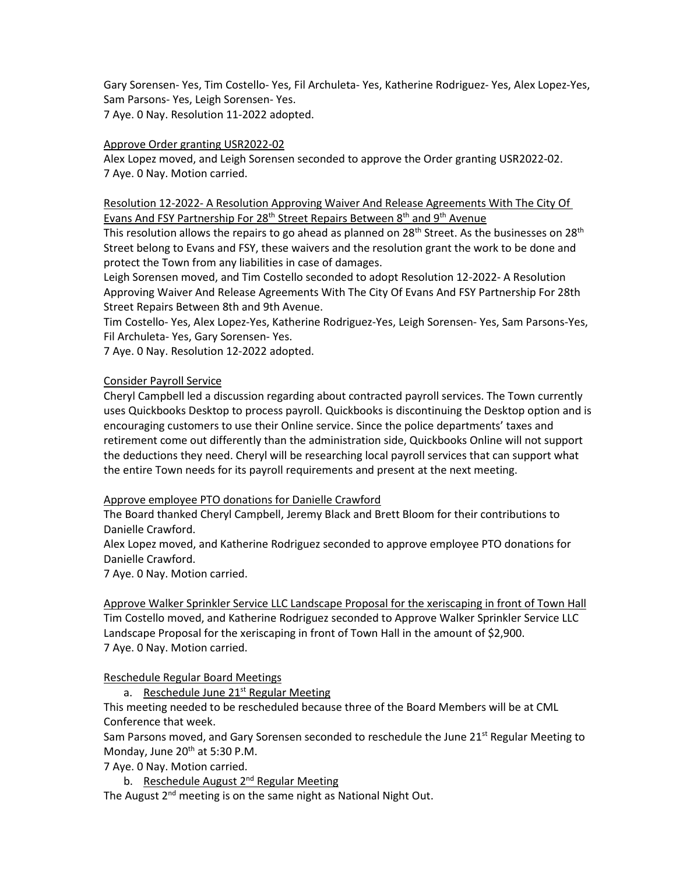Gary Sorensen- Yes, Tim Costello- Yes, Fil Archuleta- Yes, Katherine Rodriguez- Yes, Alex Lopez-Yes, Sam Parsons- Yes, Leigh Sorensen- Yes. 7 Aye. 0 Nay. Resolution 11-2022 adopted.

## Approve Order granting USR2022-02

Alex Lopez moved, and Leigh Sorensen seconded to approve the Order granting USR2022-02. 7 Aye. 0 Nay. Motion carried.

Resolution 12-2022- A Resolution Approving Waiver And Release Agreements With The City Of Evans And FSY Partnership For 28<sup>th</sup> Street Repairs Between 8<sup>th</sup> and 9<sup>th</sup> Avenue

This resolution allows the repairs to go ahead as planned on 28<sup>th</sup> Street. As the businesses on 28<sup>th</sup> Street belong to Evans and FSY, these waivers and the resolution grant the work to be done and protect the Town from any liabilities in case of damages.

Leigh Sorensen moved, and Tim Costello seconded to adopt Resolution 12-2022- A Resolution Approving Waiver And Release Agreements With The City Of Evans And FSY Partnership For 28th Street Repairs Between 8th and 9th Avenue.

Tim Costello- Yes, Alex Lopez-Yes, Katherine Rodriguez-Yes, Leigh Sorensen- Yes, Sam Parsons-Yes, Fil Archuleta- Yes, Gary Sorensen- Yes.

7 Aye. 0 Nay. Resolution 12-2022 adopted.

## Consider Payroll Service

Cheryl Campbell led a discussion regarding about contracted payroll services. The Town currently uses Quickbooks Desktop to process payroll. Quickbooks is discontinuing the Desktop option and is encouraging customers to use their Online service. Since the police departments' taxes and retirement come out differently than the administration side, Quickbooks Online will not support the deductions they need. Cheryl will be researching local payroll services that can support what the entire Town needs for its payroll requirements and present at the next meeting.

#### Approve employee PTO donations for Danielle Crawford

The Board thanked Cheryl Campbell, Jeremy Black and Brett Bloom for their contributions to Danielle Crawford.

Alex Lopez moved, and Katherine Rodriguez seconded to approve employee PTO donations for Danielle Crawford.

7 Aye. 0 Nay. Motion carried.

Approve Walker Sprinkler Service LLC Landscape Proposal for the xeriscaping in front of Town Hall Tim Costello moved, and Katherine Rodriguez seconded to Approve Walker Sprinkler Service LLC Landscape Proposal for the xeriscaping in front of Town Hall in the amount of \$2,900. 7 Aye. 0 Nay. Motion carried.

Reschedule Regular Board Meetings

a. Reschedule June 21<sup>st</sup> Regular Meeting

This meeting needed to be rescheduled because three of the Board Members will be at CML Conference that week.

Sam Parsons moved, and Gary Sorensen seconded to reschedule the June 21<sup>st</sup> Regular Meeting to Monday, June  $20<sup>th</sup>$  at 5:30 P.M.

7 Aye. 0 Nay. Motion carried.

b. Reschedule August 2<sup>nd</sup> Regular Meeting

The August  $2^{nd}$  meeting is on the same night as National Night Out.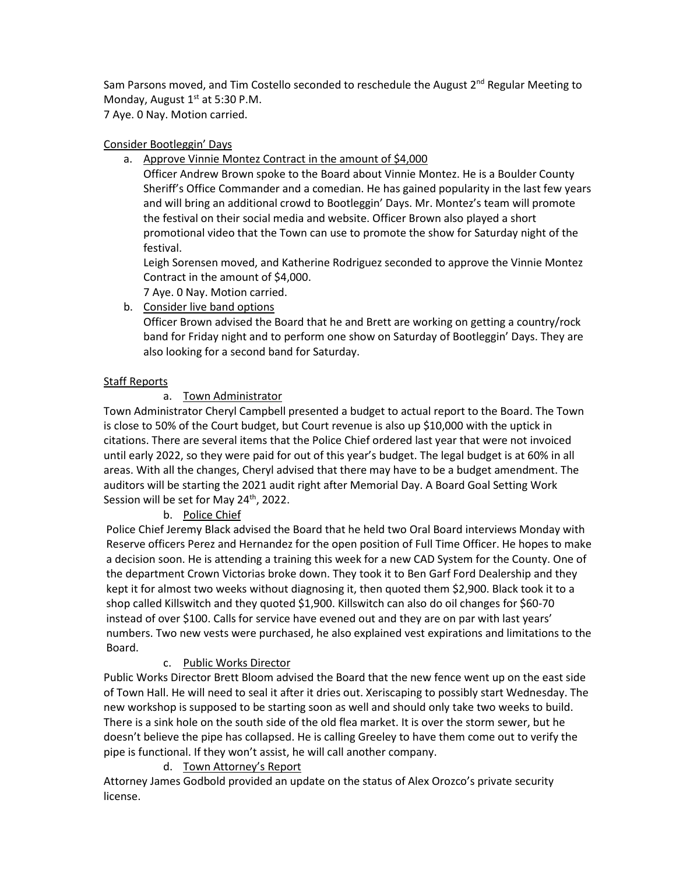Sam Parsons moved, and Tim Costello seconded to reschedule the August 2<sup>nd</sup> Regular Meeting to Monday, August  $1<sup>st</sup>$  at 5:30 P.M.

7 Aye. 0 Nay. Motion carried.

# Consider Bootleggin' Days

a. Approve Vinnie Montez Contract in the amount of \$4,000

Officer Andrew Brown spoke to the Board about Vinnie Montez. He is a Boulder County Sheriff's Office Commander and a comedian. He has gained popularity in the last few years and will bring an additional crowd to Bootleggin' Days. Mr. Montez's team will promote the festival on their social media and website. Officer Brown also played a short promotional video that the Town can use to promote the show for Saturday night of the festival.

Leigh Sorensen moved, and Katherine Rodriguez seconded to approve the Vinnie Montez Contract in the amount of \$4,000.

- 7 Aye. 0 Nay. Motion carried.
- b. Consider live band options

Officer Brown advised the Board that he and Brett are working on getting a country/rock band for Friday night and to perform one show on Saturday of Bootleggin' Days. They are also looking for a second band for Saturday.

# Staff Reports

# a. Town Administrator

Town Administrator Cheryl Campbell presented a budget to actual report to the Board. The Town is close to 50% of the Court budget, but Court revenue is also up \$10,000 with the uptick in citations. There are several items that the Police Chief ordered last year that were not invoiced until early 2022, so they were paid for out of this year's budget. The legal budget is at 60% in all areas. With all the changes, Cheryl advised that there may have to be a budget amendment. The auditors will be starting the 2021 audit right after Memorial Day. A Board Goal Setting Work Session will be set for May 24<sup>th</sup>, 2022.

## b. Police Chief

Police Chief Jeremy Black advised the Board that he held two Oral Board interviews Monday with Reserve officers Perez and Hernandez for the open position of Full Time Officer. He hopes to make a decision soon. He is attending a training this week for a new CAD System for the County. One of the department Crown Victorias broke down. They took it to Ben Garf Ford Dealership and they kept it for almost two weeks without diagnosing it, then quoted them \$2,900. Black took it to a shop called Killswitch and they quoted \$1,900. Killswitch can also do oil changes for \$60-70 instead of over \$100. Calls for service have evened out and they are on par with last years' numbers. Two new vests were purchased, he also explained vest expirations and limitations to the Board.

# c. Public Works Director

Public Works Director Brett Bloom advised the Board that the new fence went up on the east side of Town Hall. He will need to seal it after it dries out. Xeriscaping to possibly start Wednesday. The new workshop is supposed to be starting soon as well and should only take two weeks to build. There is a sink hole on the south side of the old flea market. It is over the storm sewer, but he doesn't believe the pipe has collapsed. He is calling Greeley to have them come out to verify the pipe is functional. If they won't assist, he will call another company.

## d. Town Attorney's Report

Attorney James Godbold provided an update on the status of Alex Orozco's private security license.